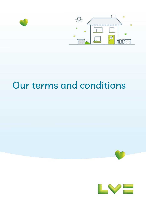

# Our terms and conditions



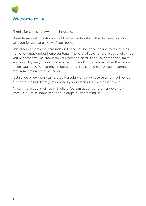<span id="page-1-0"></span>

Thanks for choosing LV= home insurance.

These terms and conditions should be kept safe with all the documents we've sent you for an overall view of your policy.

This product meets the demands and needs of someone looking to insure their home buildings and/or home contents. The level of cover and any optional extras you've chosen will be shown on your personal details and your cover and limits. We haven't given you any advice or recommendations as to whether this product meets your specific insurance requirements. You should review your insurance requirements on a regular basis.

Just so you know - our staff are paid a salary and may receive an annual bonus, but these are not directly influenced by your decision to purchase this policy.

All communications will be in English. You can get this and other documents from us in Braille, large Print or audiotape by contacting us.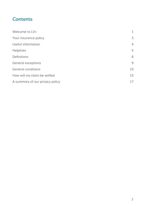# **Contents**

| Welcome to $LV=$                | 1            |
|---------------------------------|--------------|
| Your insurance policy           | 3            |
| Useful information              | 4            |
| <b>Helplines</b>                | 5            |
| Definitions                     | 6            |
| General exceptions              | $\mathsf{Q}$ |
| General conditions              | 10           |
| How will my claim be settled    | 15           |
| A summary of our privacy policy | 17           |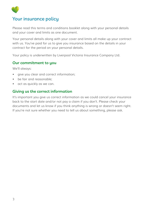

## <span id="page-3-0"></span>Your insurance policy

Please read this terms and conditions booklet along with your personal details and your cover and limits as one document.

Your personal details along with your cover and limits all make up your contract with us. You've paid for us to give you insurance based on the details in your contract for the period on your personal details.

Your policy is underwritten by Liverpool Victoria Insurance Company Ltd.

#### **Our commitment to you**

We'll always:

- give you clear and correct information;
- be fair and reasonable;
- act as quickly as we can.

#### **Giving us the correct information**

It's important you give us correct information as we could cancel your insurance back to the start date and/or not pay a claim if you don't. Please check your documents and let us know if you think anything is wrong or doesn't seem right. If you're not sure whether you need to tell us about something, please ask.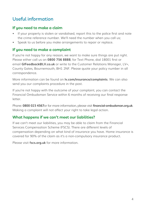# <span id="page-4-0"></span>Useful information

#### **If you need to make a claim**

- If your property is stolen or vandalised, report this to the police first and note the crime reference number. We'll need the number when you call us;
- Speak to us before you make arrangements to repair or replace.

#### **If you need to make a complaint**

If you're not happy for any reason, we want to make sure things are put right. Please either call us on **0800 756 8888**, for Text Phone, dial 18001 first or email **[GIFeedback@LV.co.uk](mailto:GIFeedback%40LV.co.uk%20?subject=)** or write to the Customer Relations Manager, LV=, County Gates, Bournemouth, BH1 2NF. Please quote your policy number in all correspondence.

More information can be found on **[lv.com/insurance/complaints](http://lv.com/insurance/complaints)**. We can also send you our complaints procedure in the post.

If you're not happy with the outcome of your complaint, you can contact the Financial Ombudsman Service within 6 months of receiving our final response letter.

Phone: **0800 023 4567**or for more information, please visit **[financial-ombudsman.org.uk](http://financial-ombudsman.org.uk)**. Making a complaint will not affect your right to take legal action.

#### **What happens if we can't meet our liabilities?**

If we can't meet our liabilities, you may be able to claim from the Financial Services Compensation Scheme (FSCS). There are different levels of compensation depending on what kind of insurance you have. Home insurance is covered for 90% of the claim as it's a non-compulsory insurance product.

Please visit **[fscs.org.uk](http://fscs.org.uk)** for more information.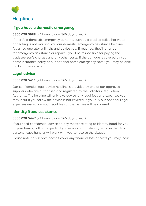<span id="page-5-0"></span>

#### **If you have a domestic emergency**

#### **0800 028 5988** (24 hours a day, 365 days a year)

If there's a domestic emergency at home, such as a blocked toilet, hot water or heating is not working, call our domestic emergency assistance helpline. A trained operator will help and advise you. If required, they'll arrange for emergency assistance or repairs - you'll be responsible for paying the tradesperson's charges and any other costs. If the damage is covered by your home insurance policy or our optional home emergency cover, you may be able to claim these costs.

#### **Legal advice**

#### **0800 028 5411** (24 hours a day, 365 days a year)

Our confidential legal advice helpline is provided by one of our approved suppliers who are authorised and regulated by the Solicitors Regulation Authority. The helpline will only give advice, any legal fees and expenses you may incur if you follow the advice is not covered. If you buy our optional Legal expenses insurance, your legal fees and expenses will be covered.

#### **Identity fraud assistance**

#### **0800 028 5447** (24 hours a day, 365 days a year)

If you need confidential advice on any matter relating to identity fraud for you or your family, call our experts. If you're a victim of identity fraud in the UK, a personal case handler will work with you to resolve the situation.

Please note, this service doesn't cover any financial loss or costs you may incur.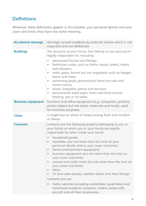# <span id="page-6-0"></span>Definitions

Wherever these definitions appear in this booklet, your personal details and your cover and limits, they have the same meaning.

| <b>Accidental damage</b>  | damage caused suddenly by external means which is not<br>expected and not deliberate.                                                                                                                                                                                                                                                                                                                                                                                                                                                                                                                                                                                                                                                                                                                                                             |
|---------------------------|---------------------------------------------------------------------------------------------------------------------------------------------------------------------------------------------------------------------------------------------------------------------------------------------------------------------------------------------------------------------------------------------------------------------------------------------------------------------------------------------------------------------------------------------------------------------------------------------------------------------------------------------------------------------------------------------------------------------------------------------------------------------------------------------------------------------------------------------------|
| <b>Buildings</b>          | the structure of your home, that belong to you and you're<br>legally responsible for, including:<br>permanent fixture and fittings;<br>$\bullet$<br>bathroom suites, such as baths, basins, bidets, toilets<br>$\bullet$<br>and showers:<br>walls, gates, fences but not vegetation such as hedges,<br>$\bullet$<br>lawns and trees:<br>swimming pools, permanently fitted hot tubs and<br>$\bullet$<br>tennis courts:<br>drives, footpaths, patios and terraces;<br>$\bullet$<br>permanently sited septic tanks and fixed central<br>$\bullet$<br>heating, gas or oil tanks.                                                                                                                                                                                                                                                                     |
| <b>Business equipment</b> | furniture and office equipment (e.g. computers, printers,<br>photo-copiers but not stock, materials and tools), used<br>for business purposes.                                                                                                                                                                                                                                                                                                                                                                                                                                                                                                                                                                                                                                                                                                    |
| <b>Claim</b>              | a single loss or series of losses arising from one incident<br>or illness.                                                                                                                                                                                                                                                                                                                                                                                                                                                                                                                                                                                                                                                                                                                                                                        |
| <b>Contents</b>           | contents are the following property belonging to you or<br>your family or which you or your family are legally<br>responsible for when inside your home:<br>household goods;<br>$\bullet$<br>valuables, but not more than the limit on your<br>$\bullet$<br>personal details and/or your cover and limits;<br>home entertainment equipment;<br>$\bullet$<br>business equipment, but not more than the limit on<br>$\bullet$<br>your cover and limits;<br>money and credit cards but not more than the limit on<br>$\bullet$<br>your cover and limits;<br>bikes;<br>$\bullet$<br>TV and radio aerials, satellite dishes and their fittings.<br>contents are not:<br>motor vehicles (including motorbikes, quad bikes and<br>$\qquad \qquad \bullet$<br>motorised scooters), caravans, trailers, watercraft,<br>aircraft and all their accessories; |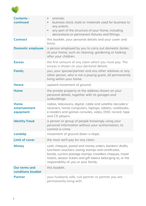

| Contents -<br>continued                    | animals;<br>$\bullet$<br>business stock, tools or materials used for business to<br>any extent;<br>any part of the structure of your home, including<br>$\bullet$<br>decorations or permanent fixtures and fittings.                                                                  |
|--------------------------------------------|---------------------------------------------------------------------------------------------------------------------------------------------------------------------------------------------------------------------------------------------------------------------------------------|
| <b>Contract</b>                            | this booklet, your personal details and your cover and<br>limits.                                                                                                                                                                                                                     |
| <b>Domestic employee</b>                   | a person employed by you to carry out domestic duties<br>at your home, such as cleaning, gardening or looking<br>after your children.                                                                                                                                                 |
| <b>Excess</b>                              | the first amount of any claim which you must pay. The<br>excess is shown on your personal details.                                                                                                                                                                                    |
| <b>Family</b>                              | you, your spouse/partner and any other relatives or any<br>other person, who is not a paying guest, all permanently<br>living within your home.                                                                                                                                       |
| <b>Heave</b>                               | upward movement of ground.                                                                                                                                                                                                                                                            |
| Home                                       | the private property at the address shown on your<br>personal details, together with its garages and<br>outbuildings.                                                                                                                                                                 |
| Home<br>entertainment<br>equipment         | radios, televisions, digital, cable and satellite decoders/<br>receivers, home computers, laptops, tablets, notebooks,<br>e-readers and games consoles, video, DVD, record, tape<br>and CD players.                                                                                   |
| <b>Identity fraud</b>                      | a person or group of people knowingly using your<br>personal information without your authorisation, to<br>commit a crime.                                                                                                                                                            |
| <b>Landslip</b>                            | movement of ground down a slope.                                                                                                                                                                                                                                                      |
| Limit of cover                             | the most we'll pay for any claim.                                                                                                                                                                                                                                                     |
| <b>Money</b>                               | cash, cheques, postal and money orders, bankers' drafts,<br>luncheon vouchers, saving stamps and certificates,<br>bonds, current postage stamps, travellers cheques, travel<br>tickets, season tickets and gift tokens belonging to, or the<br>responsibility of, you or your family. |
| <b>Our terms and</b><br>conditions booklet | this booklet.                                                                                                                                                                                                                                                                         |
| <b>Partner</b>                             | your husband, wife, civil partner or partner you are<br>permanently living with.                                                                                                                                                                                                      |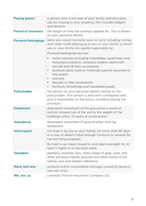| <b>Paying guests</b>       | a person who is not part of your family and who pays<br>you for staying in your property, this includes lodgers<br>and tenants.                                                                                                                                                                                                                                                                                                                                                                                                                                                                       |
|----------------------------|-------------------------------------------------------------------------------------------------------------------------------------------------------------------------------------------------------------------------------------------------------------------------------------------------------------------------------------------------------------------------------------------------------------------------------------------------------------------------------------------------------------------------------------------------------------------------------------------------------|
| <b>Period of Insurance</b> | the length of time the contract applies for. This is shown<br>on your personal details.                                                                                                                                                                                                                                                                                                                                                                                                                                                                                                               |
| <b>Personal belongings</b> | items you would normally wear or carry including money<br>and credit cards belonging to you or your family or which<br>you or your family are legally responsible for.<br>Personal belongings are not:<br>motor vehicles (including motorbikes, quad bikes and<br>$\bullet$<br>motorised scooters), caravans, trailers, watercraft,<br>gircraft and all their accessories:<br>business stock, tools or materials used for business to<br>$\bullet$<br>any extent;<br>animals:<br>$\bullet$<br>bicycles or their accessories;<br>$\bullet$<br>furniture, furnishings and household goods.<br>$\bullet$ |
| Policyholder               | the person on your personal details named as the<br>policyholder. This person is who we'll correspond with<br>and is responsible for the policy, including paying the<br>premium.                                                                                                                                                                                                                                                                                                                                                                                                                     |
| <b>Settlement</b>          | downward movement of the ground as a result of<br>normal compaction of the soil by the weight of the<br>buildings within 10 years of construction.                                                                                                                                                                                                                                                                                                                                                                                                                                                    |
| <b>Subsidence</b>          | downward movement of ground other than by<br>settlement.                                                                                                                                                                                                                                                                                                                                                                                                                                                                                                                                              |
| <b>Unoccupied</b>          | not lived in by you or your family, for more than 60 days<br>in a row, or doesn't have enough furniture or services for<br>normal living purposes.<br>By lived in we mean stayed in and slept overnight for at<br>least 2 nights in a row each week.                                                                                                                                                                                                                                                                                                                                                  |
| <b>Valuables</b>           | jewellery, watches, furs, items made of gold, silver and<br>other precious metals, pictures and other works of art,<br>stamp, coin and medal collections.                                                                                                                                                                                                                                                                                                                                                                                                                                             |
| <b>Wear and tear</b>       | gradual and/or unavoidable damage caused by general<br>use over time.                                                                                                                                                                                                                                                                                                                                                                                                                                                                                                                                 |
| We, our, us                | Liverpool Victoria Insurance Company Ltd.                                                                                                                                                                                                                                                                                                                                                                                                                                                                                                                                                             |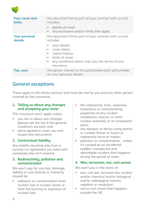

| Your cover and<br>limits        | this document forms part of your contract with us and<br>includes:<br>details of cover:<br>any exclusions and/or limits that apply.                                                                                                             |
|---------------------------------|-------------------------------------------------------------------------------------------------------------------------------------------------------------------------------------------------------------------------------------------------|
| <b>Your personal</b><br>details | this document forms part of your contract with us and<br>includes:<br>your details;<br>cover dates:<br>٠<br>claims history;<br>$\bullet$<br>limits of cover:<br>$\bullet$<br>any conditions which may vary the terms of your<br>٠<br>insurance. |
| You, your                       | the person named as the policyholder/joint policyholder<br>on your personal details.                                                                                                                                                            |

### <span id="page-9-0"></span>General exceptions

These apply to the whole contract and must be met by you and any other person covered by this insurance.

#### **1. Telling us about any changes and accepting your cover**

This insurance won't apply unless:

- you tell us about any changes (please see the list in the general conditions section); and
- we've agreed to cover you and issued new documents.

#### **2. Contractual liability**

Any liability resulting only from a contract or agreement you have with somebody else isn't covered.

#### **3. Radioactivity, pollution and contamination**

We won't pay for any loss, damage, liability or cost directly or indirectly caused by:

• radiation or contamination from nuclear fuel or nuclear waste or from the burning or explosion of nuclear fuel;

- the radioactive, toxic, explosive, hazardous or contaminating properties of any nuclear installation, reactor, or other nuclear assembly or its component parts;
- any weapon or device using atomic or nuclear fission or fusion or radioactive force or matter;
- pollution or contamination unless it's caused by an accidental sudden, unexpected and identifiable incident that happens during the period of cover.

#### **4. War, terrorism, riot, civil unrest**

We won't pay in the event of:

- war, civil war, terrorism (by nuclear and/or chemical and/or biological and/or radiological means), rebellion or revolution;
- riot or civil unrest that happens outside the UK.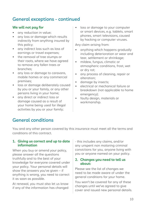# General exceptions - continued

#### **We will not pay for**

- any reduction in value;
- any loss or damage which results indirectly from anything insured by this policy;
- any indirect loss such as loss of earnings or travel expenses;
- the removal of tree stumps or their roots, where we have agreed to remove any fallen trees or branches;
- any loss or damage to caravans, mobile homes or any commercial premises;
- loss or damage deliberately caused by you or your family, or any other persons living in your home;
- any direct or indirect loss or damage caused as a result of your home being used for illegal activities by you or your family;

loss or damage to your computer or smart devices, e.g. tablets, smart phones, smart televisions, caused by hacking or computer viruses.

Any claim arising from:

- anything which happens gradually including deterioration or wear and tear, settlement or shrinkage;
- mildew, fungus, climatic or atmospheric conditions, frost, wet or dry rot;
- any process of cleaning, repair or alteration;
- damage by insects:
- electrical or mechanical failure or breakdown (not applicable to home emergency);
- faulty design, materials or workmanship.

# <span id="page-10-0"></span>General conditions

You and any other person covered by this insurance must meet all the terms and conditions of this contract.

#### **1. Giving us correct and up to date information**

When you buy or amend your policy, please answer all the questions truthfully and to the best of your knowledge for everyone covered under your policy. Your personal details will show the answers you've given – if anything is wrong, you need to correct it as soon as possible.

At renewal, you must also let us know if any of the information has changed - this includes any claims, and/or any unspent non motoring criminal convictions for you, anyone living with you or anyone named on your policy.

#### **2. Changes you need to tell us about:**

Please see the list of changes we need to be made aware of under the general conditions for your home.

You won't be covered for any of these changes until we've agreed to give cover and issued new personal details.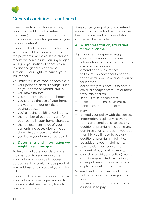

If we agree to your change, it may result in an additional or return premium (an administration charge may apply – these charges are on your personal details).

If you don't tell us about the changes, we may reject the claim or reduce the payments we make. If the change means we can't insure you any longer, we'll give you notice of cancellation ([please see general conditions](#page-13-0)  [section 7 – our rights to cancel your](#page-13-0)  [insurance](#page-13-0)).

You must tell us as soon as possible if:

- your personal details change, such as your name or marital status;
- you move house;
- you start a business from home;
- you change the use of your home e.g you rent it out or take on paying guests;
- you're having building work done;
- the number of bedrooms and/or bathrooms in your home changes;
- the replacement value of your contents increases above the sum shown in your personal details;
- you leave your home unoccupied.

#### **3. Documents and information we might need from you**

To help us validate your details, we may ask you to send us documents, information or allow us to access databases. This could include proof of your address and a copy of your utility bill.

If you don't send us these documents/ information or give us permission to access a database, we may have to cancel your policy.

If we cancel your policy and a refund is due, any charge for the time you've been on cover and our cancellation charge will be deducted.

#### <span id="page-11-0"></span>**4. Misrepresentation, fraud and financial crime**

If you or anyone representing you:

- give us misleading or incorrect information to any of the questions asked when applying for or amending this insurance;
- fail to let us know about changes to the details we have about you or your cover;
- deliberately misleads us to obtain cover, a cheaper premium or more favourable terms;
- send us false documents:
- make a fraudulent payment by bank account and/or card;

#### we may:

- amend your policy with the correct information, apply any relevant terms and conditions, collect any additional premium (including any administration charges). If you pay monthly, you'll need to pay any additional premium in full, it can't be added to your instalments;
- reject a claim or reduce the amount of payment we make;
- cancel or avoid your policy (treat it as if it never existed), including all other policies you have with us and apply a cancellation charge.

Where fraud is identified, we'll also:

- not return any premium paid by you;
- recover from you any costs you've caused us to pay;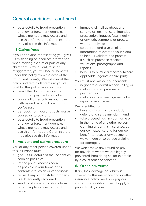• pass details to fraud prevention and law enforcement agencies whose members may access and use this information. Other insurers may also see this information.

#### **4.1 Claims fraud**

If you or anyone representing you gives us misleading or incorrect information when making a claim or part of any claim that is fraudulent, false or exaggerated, you will lose all benefits under this policy from the date of the fraudulent claim(s). We will cancel the policy and retain all premium you've paid for this policy. We may also:

- reject the claim or reduce the amount of payment we make;
- cancel all other policies you have with us and retain all premiums you've paid;
- get back from you any costs you've caused us to pay; and
- pass details to fraud prevention and law enforcement agencies whose members may access and use this information. Other insurers may also see this information.

#### **5. Accident and claims procedure**

You or any other person covered under this insurance must:

- give us full details of the incident as soon as possible;
- let the police know as soon as possible if your home or its contents are stolen or vandalised;
- tell us if any lost or stolen property is subsequently recovered:
- send us all communications from other people involved, without replying;
- immediately tell us about and send to us, any notice of intended prosecution, inquest, fatal inquiry or any writ, summons or process without replying;
- co-operate and give us all the information relevant to your claim to help us validate and process it such as purchase receipts, valuations, photographs and reports;
- help us to pursue a recovery (where applicable) against a third party.

You must not, without our consent:

- negotiate or admit responsibility; or
- make any offer, promise or payment; or
- make your own arrangements for repair or replacement.

We're entitled to:

- have total control to conduct. defend and settle any claim; and
- take proceedings, in your name or in the name of any other person claiming under this insurance, at our own expense and for our own benefit to recover any payment we've made or to pursue a claim for damages.

We won't make any refund or pay for any claim where we are legally prevented from doing so, for example by a court order or sanction.

#### **6. Other insurances**

If any loss, damage or liability is covered by this insurance and another insurance policy, we'll only pay our share. This condition doesn't apply to public liability cover.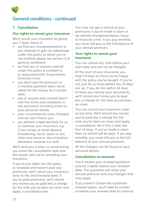

#### **7. Cancellation**

#### <span id="page-13-0"></span>**Our rights to cancel your insurance**

We'll cancel your insurance by giving you 7 days' notice if:

- we find any misrepresentation or any attempt to gain an advantage under this policy to which you're not entitled, [please see section 4 of](#page-11-0)  [general conditions](#page-11-0);
- we find you or anyone covered under this policy is involved in, or associated with, fraud and/or financial crime;
- you don't pay the premium or a monthly payment when we've asked for the money by a certain date;
- you or anyone else insured hasn't met the terms and conditions in this document including those on your personal details;
- your circumstances have changed and we can't insure you;
- you behave inappropriately for us to continue your insurance, e.g. if you harass or show abusive, threatening, racist, sexist or any other anti-social or discriminatory behaviour towards our staff.

We'll send you a letter or email letting you know the cancellation date and the reason why we're cancelling your insurance.

If you've just taken out the policy or renewed and haven't paid any premiums, we'll cancel your insurance back to the start/renewal date. If you've paid premiums, we'll refund any money you've paid less a charge for the time you've been on cover and apply a cancellation fee.

You may not get a refund of your premiums if you've made a claim or we identify misrepresentation, fraud or financial crime. If you pay monthly, you must still pay us the full balance of your annual premium.

#### **Your rights to cancel your insurance**

You can cancel any time before your start date and will not be charged.

At the start of your insurance, you have 14 days to check you're happy with the policy you've bought. If you're not, just let us know before the 14 days are up. If you do this within 14 days of when you receive your documents, we'll refund any money you've paid less a charge for the time you've been on cover.

You can cancel your insurance cover at any time. We'll refund any money you've paid less a charge for the time you've been on cover and apply a cancellation fee if this is after the first 14 days. If you've made a claim then no refund will be paid. If you pay monthly, you must still pay us the full balance of your annual premium.

All the charges can be found on your personal details.

#### **Cancellation at renewal**

You'll receive your renewal quotation around 3 weeks before your renewal date. The quotation will show your annual premium and any changes that may apply.

If you haven't chosen the automatic renewal option, you'll need to contact us before your renewal date to continue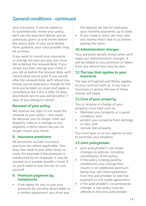your insurance. If you've asked us to automatically renew your policy, we'll use the payment details you've previously given us and renew before the expiry date. If your card details have updated, your card provider may let us know.

If you want to cancel your insurance or change the way you pay, you must tell us before the renewal date. If you renew, but then change your mind, if you tell us before the renewal date, we'll refund what you've paid. If you cancel after the renewal date, we'll refund any money you've paid less a charge for the time you've been on cover and apply a cancellation fee if this is after 14 days. Any refund sent to you will be within 7 days of you asking to cancel.

#### **Renewal of your policy**

We reserve the right to not invite the renewal of your policy – this could be because you no longer meet our eligibility rules or a change to our eligibility criteria means we can no longer insure your home.

#### **8. Insurance premiums**

All premiums include insurance premium tax where applicable. You may also have to pay other taxes or costs, for example if the premium is reimbursed by an employer it may be classed as a taxable benefit in kind. If so you'll need to pay this tax or cost yourself.

#### **9. Premium payment by instalments**

If we agree for you to pay your premium by monthly direct debit or a similar agreement, you must pay

the deposit we ask for and keep your monthly payments up to date;

• If you make a claim, we may take any money that's due to us before paying the claim.

#### **10.Administration charges**

Your personal details shows when we'll apply our administration charges. It will be added to any premium or taken from any refund that may be due.

#### **11.The law that applies to your insurance**

The law of England and Wales applies to your contract with us. If you live in Guernsey or Jersey, the law of these islands will apply.

#### **12.Care of your property**

You or anyone in charge of your property must take care to:

- Maintain your property in a good condition; and
- protect your property from damage or loss; and
- recover lost property.

You must give us or our agents access to examine your property.

#### **13.Joint policyholder**

- ioint policyholder's can make changes to policies, including cancellation of the policy;
- if the policy is being paid by instalments, any change that results in an additional premium being due, will need agreement from the policyholder to add the payment to the credit agreement;
- if the policyholder's circumstances change, a new policy may be offered to the joint policyholder.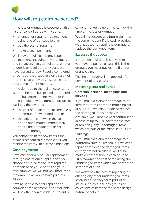

# <span id="page-15-0"></span>How will my claim be settled?

If the loss or damage is covered by this insurance we'll agree with you to:

- arrange for repair or replacement using one of our suppliers; or
- pay the cost of repair; or
- make a cash payment.

We'll pay the full cost of any repair or replacement, including any architects' and surveyors' fees, demolition, removal of debris or local authority costs we have agreed to pay. Repairs completed by our approved suppliers as a result of a claim covered by this insurance are guaranteed for 12 months.

If the damage to the building/contents is not to be rebuilt/replaced or repaired, or the building/contents were not in a good condition when damage occurred, we'll pay the lower of:

- the cost of repair or replacement less an amount for wear and tear; or
- the difference between the value on the open market immediately before the damage and its value after the damage.

You cannot claim for new items if the repair is economically possible or if you replace the item with a second hand one.

#### **Cash payments**

If we can offer a repair or replacement through one of our suppliers and you choose not to have the item repaired or replaced or you wish to use your own supplier, we will not pay more than the amount we would have paid our supplier.

If we're unable to offer repair or an equivalent replacement is not available, we'll pay the nearest cash equivalent or

current market value of the item at the time of the loss or damage.

We will not accept any future claim for the same incident if the cash provided was not used to repair the damage or replace the damaged item.

#### **Excesses that apply**

If your personal details shows that you have to pay an excess, this is the amount you must pay as the first part of any claim.

The limit of cover will be applied after payment of any excess.

#### **Matching sets and suites**

#### **Contents, personal belongings and bicycles**

If you make a claim for damage to an item that forms part of a matching set or suite, but we can't repair or replace the damaged items as they're not available, we'll also make a contribution in cash of up to 50% towards the cost of replacing any undamaged items which are part of the same set or suite.

#### **Buildings**

If you make a claim for damage to a bathroom suite or kitchen, but we can't repair or replace the damaged items as they are not available, we'll also make a contribution in cash of up to 50% towards the cost of replacing any undamaged items which are part of the same set or suite.

We won't pay the cost of replacing or altering any other undamaged items solely because they form part of a set or suite, this includes groups or collections of items of the same design, nature or colour.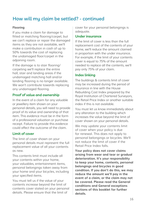# How will my claim be settled? - continued

#### **Flooring**

If you make a claim for damage to fitted or matching flooring/carpet, but we can't replace or repair the damaged items as they are not available, we'll make a contribution in cash of up to 50% towards the cost of replacing the undamaged floor/carpet in the adjoining room.

If the damage is to stair flooring/ carpeting we'll replace the entire hall, stair and landing areas if the undamaged matching hall and/or landing flooring is no longer available. We won't contribute towards replacing any undamaged flooring.

#### **Proof of value and ownership**

In the event of a claim for any valuable or jewellery item shown on your personal details, you will need to provide proof of its value and ownership of that item. This evidence must be in the form of a professional valuation or purchase receipt. Failure to provide this evidence could affect the outcome of the claim.

#### **Limit of cover**

The limit of cover shown on your personal details must represent the full replacement value of all your contents as new.

This contents limit must include all your contents within your home, your valuables, entertainment items, personal belongings taken away from your home and your bicycles, including your specified items.

You must tell us if the value of your contents increase beyond the limit of contents cover stated on your personal details. Please ensure that the limit of

cover for your personal belongings is adequate.

#### **Under insurance**

If the limit of cover is less than the full replacement cost of the contents of your home, we'll reduce the amount claimed in proportion with the under insurance. For example, if the limit of your contents cover is equal to 75% of the amount needed to replace all the contents, we'll pay only 75% of your claim.

#### **Index linking**

The buildings & contents limit of cover may be increased during the period of insurance in line with the House Rebuilding Cost Index prepared by the Royal Institution of Chartered Surveyors, the Retail Price Index or another suitable index if this is not available.

You must let us know immediately about any alteration to the building which increases the value beyond the limit of cover shown on your personal details.

We may update your contents limit of cover when your policy is due for renewal. This does not apply to personal belongings or bicycles. We'll not reduce the limit of cover if the Retail Price Index falls.

**Your policy does not cover claims arising from wear and tear or gradual deterioration. It's your responsibility to keep your home, contents, personal belongings and bicycles in good condition. If you don't do this, we may reduce the amount we'll pay in the event of a claim, or the claim may not be covered. Please read the General conditions and General exceptions sections of this booklet for further details.**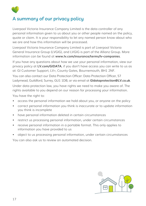

# <span id="page-17-0"></span>A summary of our privacy policy

Liverpool Victoria Insurance Company Limited is the data controller of any personal information given to us about you or other people named on the policy, quote or claim. It is your responsibility to let any named person know about who we are and how this information will be processed.

Liverpool Victoria Insurance Company Limited is part of Liverpool Victoria General Insurance Group (LVGIG), and LVGIG is part of the Allianz Group. More information can be found at **[www.lv.com/insurance/terms/lv-companies](http://www.lv.com/insurance/terms/lv-companies)**.

If you have any questions about how we use your personal information, view our privacy policy at **[LV.com/GIDATA](http://LV.com/GIDATA)**, if you don't have access you can write to us as at: GI Customer Support, LV=, County Gates, Bournemouth, BH1 2NF.

You can also contact our Data Protection Officer: Data Protection Officer, 57 Ladymead, Guildford, Surrey, GU1 1DB, or via email at **[GIdataprotection@LV.co.uk](mailto:GIdataprotection%40LV.co.uk?subject=)**. Under data protection law, you have rights we need to make you aware of. The rights available to you depend on our reason for processing your information.

You have the right to:

- access the personal information we hold about you, or anyone on the policy
- correct personal information you think is inaccurate or to update information you think is incomplete
- have personal information deleted in certain circumstances
- restrict us processing personal information, under certain circumstances
- receive personal information in a portable format. This only applies to information you have provided to us
- object to us processing personal information, under certain circumstances You can also ask us to review an automated decision.